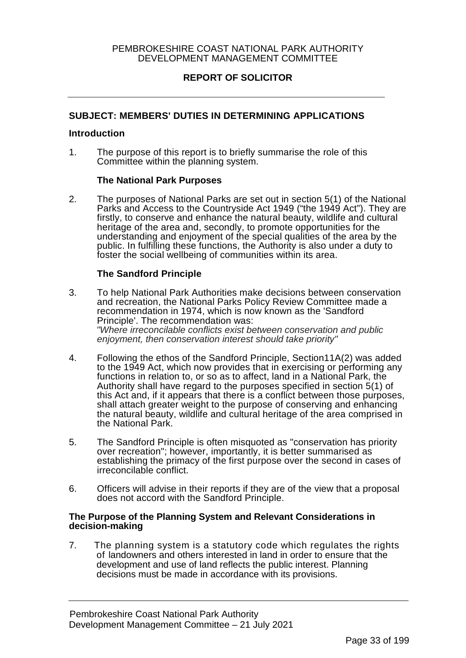### PEMBROKESHIRE COAST NATIONAL PARK AUTHORITY DEVELOPMENT MANAGEMENT COMMITTEE

# **REPORT OF SOLICITOR**

### **SUBJECT: MEMBERS' DUTIES IN DETERMINING APPLICATIONS**

#### **Introduction**

1. The purpose of this report is to briefly summarise the role of this Committee within the planning system.

#### **The National Park Purposes**

2. The purposes of National Parks are set out in section 5(1) of the National Parks and Access to the Countryside Act 1949 ("the 1949 Act"). They are firstly, to conserve and enhance the natural beauty, wildlife and cultural heritage of the area and, secondly, to promote opportunities for the understanding and enjoyment of the special qualities of the area by the public. In fulfilling these functions, the Authority is also under a duty to foster the social wellbeing of communities within its area.

#### **The Sandford Principle**

- 3. To help National Park Authorities make decisions between conservation and recreation, the National Parks Policy Review Committee made a recommendation in 1974, which is now known as the 'Sandford Principle'. The recommendation was: *"Where irreconcilable conflicts exist between conservation and public enjoyment, then conservation interest should take priority"*
- 4. Following the ethos of the Sandford Principle, Section11A(2) was added to the 1949 Act, which now provides that in exercising or performing any functions in relation to, or so as to affect, land in a National Park, the Authority shall have regard to the purposes specified in section 5(1) of this Act and, if it appears that there is a conflict between those purposes, shall attach greater weight to the purpose of conserving and enhancing the natural beauty, wildlife and cultural heritage of the area comprised in the National Park.
- 5. The Sandford Principle is often misquoted as "conservation has priority over recreation"; however, importantly, it is better summarised as establishing the primacy of the first purpose over the second in cases of irreconcilable conflict.
- 6. Officers will advise in their reports if they are of the view that a proposal does not accord with the Sandford Principle.

#### **The Purpose of the Planning System and Relevant Considerations in decision-making**

7. The planning system is a statutory code which regulates the rights of landowners and others interested in land in order to ensure that the development and use of land reflects the public interest. Planning decisions must be made in accordance with its provisions.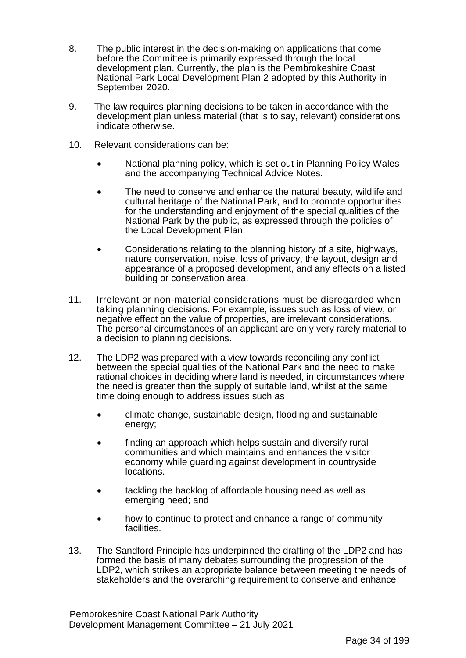- 8. The public interest in the decision-making on applications that come before the Committee is primarily expressed through the local development plan. Currently, the plan is the Pembrokeshire Coast National Park Local Development Plan 2 adopted by this Authority in September 2020.
- 9. The law requires planning decisions to be taken in accordance with the development plan unless material (that is to say, relevant) considerations indicate otherwise.
- 10. Relevant considerations can be:
	- National planning policy, which is set out in Planning Policy Wales and the accompanying Technical Advice Notes.
	- The need to conserve and enhance the natural beauty, wildlife and cultural heritage of the National Park, and to promote opportunities for the understanding and enjoyment of the special qualities of the National Park by the public, as expressed through the policies of the Local Development Plan.
	- Considerations relating to the planning history of a site, highways, nature conservation, noise, loss of privacy, the layout, design and appearance of a proposed development, and any effects on a listed building or conservation area.
- 11. Irrelevant or non-material considerations must be disregarded when taking planning decisions. For example, issues such as loss of view, or negative effect on the value of properties, are irrelevant considerations. The personal circumstances of an applicant are only very rarely material to a decision to planning decisions.
- 12. The LDP2 was prepared with a view towards reconciling any conflict between the special qualities of the National Park and the need to make rational choices in deciding where land is needed, in circumstances where the need is greater than the supply of suitable land, whilst at the same time doing enough to address issues such as
	- climate change, sustainable design, flooding and sustainable energy;
	- finding an approach which helps sustain and diversify rural communities and which maintains and enhances the visitor economy while guarding against development in countryside locations.
	- tackling the backlog of affordable housing need as well as emerging need; and
	- how to continue to protect and enhance a range of community facilities.
- 13. The Sandford Principle has underpinned the drafting of the LDP2 and has formed the basis of many debates surrounding the progression of the LDP2, which strikes an appropriate balance between meeting the needs of stakeholders and the overarching requirement to conserve and enhance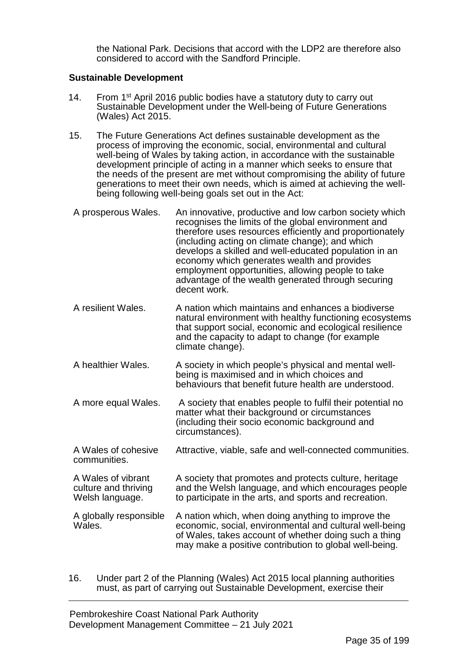the National Park. Decisions that accord with the LDP2 are therefore also considered to accord with the Sandford Principle.

# **Sustainable Development**

- 14. From 1<sup>st</sup> April 2016 public bodies have a statutory duty to carry out Sustainable Development under the Well-being of Future Generations (Wales) Act 2015.
- 15. The Future Generations Act defines sustainable development as the process of improving the economic, social, environmental and cultural well-being of Wales by taking action, in accordance with the sustainable development principle of acting in a manner which seeks to ensure that the needs of the present are met without compromising the ability of future generations to meet their own needs, which is aimed at achieving the wellbeing following well-being goals set out in the Act:

| A prosperous Wales.                                           | An innovative, productive and low carbon society which<br>recognises the limits of the global environment and<br>therefore uses resources efficiently and proportionately<br>(including acting on climate change); and which<br>develops a skilled and well-educated population in an<br>economy which generates wealth and provides<br>employment opportunities, allowing people to take<br>advantage of the wealth generated through securing<br>decent work. |
|---------------------------------------------------------------|-----------------------------------------------------------------------------------------------------------------------------------------------------------------------------------------------------------------------------------------------------------------------------------------------------------------------------------------------------------------------------------------------------------------------------------------------------------------|
| A resilient Wales.                                            | A nation which maintains and enhances a biodiverse<br>natural environment with healthy functioning ecosystems<br>that support social, economic and ecological resilience<br>and the capacity to adapt to change (for example<br>climate change).                                                                                                                                                                                                                |
| A healthier Wales.                                            | A society in which people's physical and mental well-<br>being is maximised and in which choices and<br>behaviours that benefit future health are understood.                                                                                                                                                                                                                                                                                                   |
| A more equal Wales.                                           | A society that enables people to fulfil their potential no<br>matter what their background or circumstances<br>(including their socio economic background and<br>circumstances).                                                                                                                                                                                                                                                                                |
| A Wales of cohesive<br>communities.                           | Attractive, viable, safe and well-connected communities.                                                                                                                                                                                                                                                                                                                                                                                                        |
| A Wales of vibrant<br>culture and thriving<br>Welsh language. | A society that promotes and protects culture, heritage<br>and the Welsh language, and which encourages people<br>to participate in the arts, and sports and recreation.                                                                                                                                                                                                                                                                                         |
| A globally responsible<br>Wales.                              | A nation which, when doing anything to improve the<br>economic, social, environmental and cultural well-being<br>of Wales, takes account of whether doing such a thing<br>may make a positive contribution to global well-being.                                                                                                                                                                                                                                |

16. Under part 2 of the Planning (Wales) Act 2015 local planning authorities must, as part of carrying out Sustainable Development, exercise their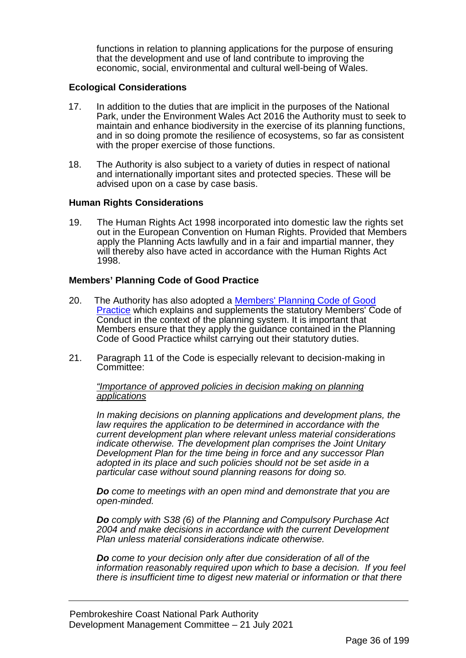functions in relation to planning applications for the purpose of ensuring that the development and use of land contribute to improving the economic, social, environmental and cultural well-being of Wales.

### **Ecological Considerations**

- 17. In addition to the duties that are implicit in the purposes of the National Park, under the Environment Wales Act 2016 the Authority must to seek to maintain and enhance biodiversity in the exercise of its planning functions, and in so doing promote the resilience of ecosystems, so far as consistent with the proper exercise of those functions.
- 18. The Authority is also subject to a variety of duties in respect of national and internationally important sites and protected species. These will be advised upon on a case by case basis.

### **Human Rights Considerations**

19. The Human Rights Act 1998 incorporated into domestic law the rights set out in the European Convention on Human Rights. Provided that Members apply the Planning Acts lawfully and in a fair and impartial manner, they will thereby also have acted in accordance with the Human Rights Act 1998.

## **Members' Planning Code of Good Practice**

- 20. The Authority has also adopted a [Members' Planning Code of Good](https://www.pembrokeshirecoast.wales/wp-content/uploads/2020/02/MembersPlanningCodeofGoodPracticeFinalVersion050809.doc)  [Practice](https://www.pembrokeshirecoast.wales/wp-content/uploads/2020/02/MembersPlanningCodeofGoodPracticeFinalVersion050809.doc) which explains and supplements the statutory Members' Code of Conduct in the context of the planning system. It is important that Members ensure that they apply the guidance contained in the Planning Code of Good Practice whilst carrying out their statutory duties.
- 21. Paragraph 11 of the Code is especially relevant to decision-making in Committee:

*"Importance of approved policies in decision making on planning applications*

*In making decisions on planning applications and development plans, the law requires the application to be determined in accordance with the current development plan where relevant unless material considerations indicate otherwise. The development plan comprises the Joint Unitary Development Plan for the time being in force and any successor Plan adopted in its place and such policies should not be set aside in a particular case without sound planning reasons for doing so.*

*Do come to meetings with an open mind and demonstrate that you are open-minded.*

*Do comply with S38 (6) of the Planning and Compulsory Purchase Act 2004 and make decisions in accordance with the current Development Plan unless material considerations indicate otherwise.*

*Do come to your decision only after due consideration of all of the information reasonably required upon which to base a decision. If you feel there is insufficient time to digest new material or information or that there*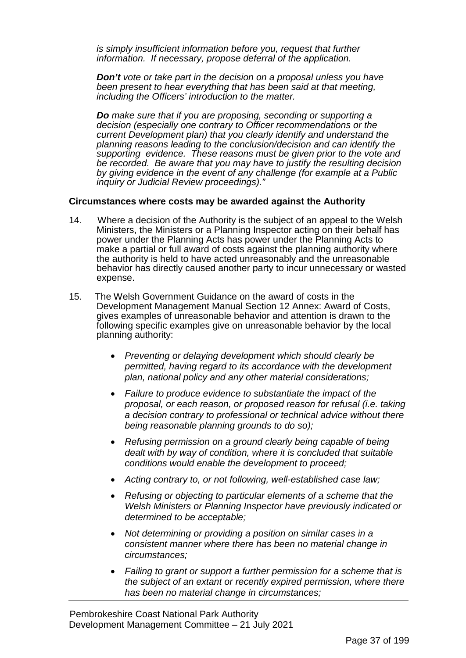*is simply insufficient information before you, request that further information. If necessary, propose deferral of the application.*

*Don't vote or take part in the decision on a proposal unless you have been present to hear everything that has been said at that meeting, including the Officers' introduction to the matter.*

*Do make sure that if you are proposing, seconding or supporting a decision (especially one contrary to Officer recommendations or the current Development plan) that you clearly identify and understand the planning reasons leading to the conclusion/decision and can identify the supporting evidence. These reasons must be given prior to the vote and be recorded. Be aware that you may have to justify the resulting decision by giving evidence in the event of any challenge (for example at a Public inquiry or Judicial Review proceedings)."*

### **Circumstances where costs may be awarded against the Authority**

- 14. Where a decision of the Authority is the subject of an appeal to the Welsh Ministers, the Ministers or a Planning Inspector acting on their behalf has power under the Planning Acts has power under the Planning Acts to make a partial or full award of costs against the planning authority where the authority is held to have acted unreasonably and the unreasonable behavior has directly caused another party to incur unnecessary or wasted expense.
- 15. The Welsh Government Guidance on the award of costs in the Development Management Manual Section 12 Annex: Award of Costs, gives examples of unreasonable behavior and attention is drawn to the following specific examples give on unreasonable behavior by the local planning authority:
	- *Preventing or delaying development which should clearly be permitted, having regard to its accordance with the development plan, national policy and any other material considerations;*
	- *Failure to produce evidence to substantiate the impact of the proposal, or each reason, or proposed reason for refusal (i.e. taking a decision contrary to professional or technical advice without there being reasonable planning grounds to do so);*
	- *Refusing permission on a ground clearly being capable of being dealt with by way of condition, where it is concluded that suitable conditions would enable the development to proceed;*
	- *Acting contrary to, or not following, well-established case law;*
	- *Refusing or objecting to particular elements of a scheme that the Welsh Ministers or Planning Inspector have previously indicated or determined to be acceptable;*
	- *Not determining or providing a position on similar cases in a consistent manner where there has been no material change in circumstances;*
	- *Failing to grant or support a further permission for a scheme that is the subject of an extant or recently expired permission, where there has been no material change in circumstances;*